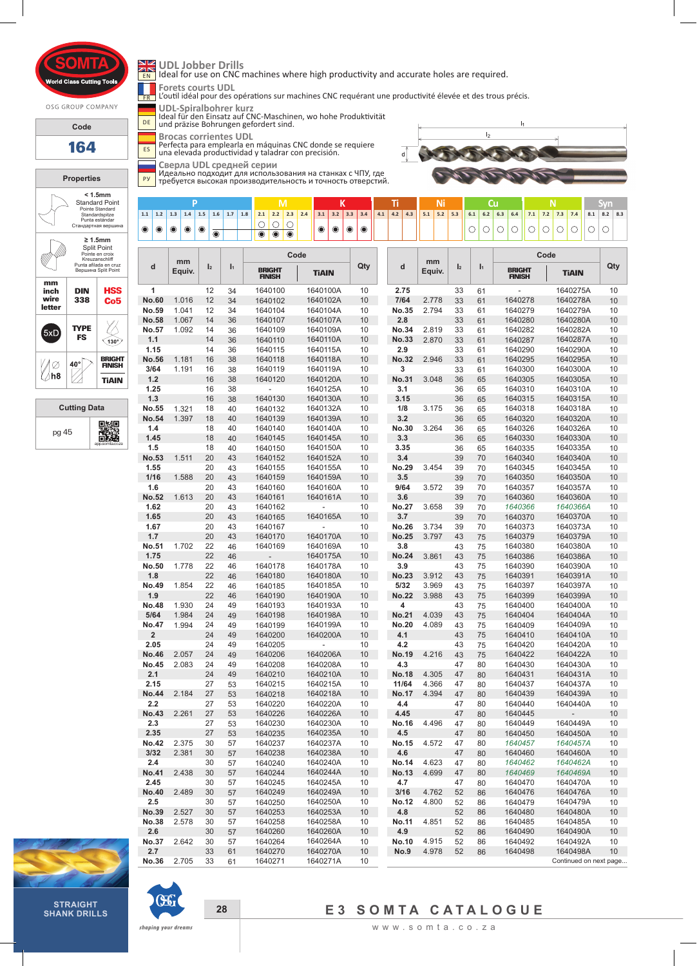rid Cla

OSG GROUP COMPANY

**Code**

**164**

**Properties < 1.5mm**  Standard Point Pointe Standard Standardspitze Punta estándar типа езапиа<br>Стандартная вершин **≥ 1.5mm**  Split Point Pointe en croix Kreuzanschliff Punta afilada en cruz Вершина Split Point **mm HSS inch DIN 338 wire letter Co5**  $\bigotimes$ **TYPE**  $5xD$ **FS**  $\widehat{\left(130\right)}$  $40^\circ$ **BRIGHT FINISH** </del> Ø ∐⁄h8 **TiAIN**





DE

Ideal for use on CNC machines where high productivity and accurate holes are required.

FR<sub>1</sub> **Forets courts UDL** L'outil idéal pour des opérations sur machines CNC requérant une productivité élevée et des trous précis.

**UDL-Spiralbohrer kurz** Ideal für den Einsatz auf CNC-Maschinen, wo hohe Produktivität

und präzise Bohrungen gefordert sind.

ES **Brocas corrientes UDL** Perfecta para emplearla en máquinas CNC donde se requiere una elevada productividad y taladrar con precisión.

**Сверла UDL средней серии**

PУ Идеально подходит для использования на станках с ЧПУ, где требуется высокая производительность и точность отверстий.



# **P M K Ti Ni Cu N Syn** 1.1 1.2 1.3 1.4 1.5 1.6 1.7 1.8 2.1 2.2 2.3 2.4 3.1 3.2 3.3 3.4 4.1 4.2 4.3 5.1 5.2 5.3 6.1 6.2 6.3 6.4 7.1 7.2 7.3 7.4 8.1 6.2 6.3 6.4 7.1 7.2 7.3 7.4 8.1 6.2 6.3 6.4 7.1 7.2 7.3 7.4 8.1 6.2 6.3 6.4 7.1 7.2 7.3 7.4 8.1 6  $\bullet$  $\bullet$  $\bullet$  $\bigcirc$  $\bigcirc$  $\circ$   $\circ$   $\circ$   $\circ$  $\bullet$  $\begin{matrix} \bullet \\ \bullet \end{matrix}$  $\bullet$  $\begin{matrix} \bullet \\ \bullet \end{matrix}$  $\bullet$  $\bullet$  $\circ$  $\circ$  $\bigcirc$  $\circ$   $\circ$  $\overline{\bullet}$

| d                            | mm<br>Equiv.   | $\mathbf{I}_2$ | $\mathbf{I}_1$ | Code                           |                      |          |                     | mm             |                |                | Code                           |                        |          |
|------------------------------|----------------|----------------|----------------|--------------------------------|----------------------|----------|---------------------|----------------|----------------|----------------|--------------------------------|------------------------|----------|
|                              |                |                |                | <b>BRIGHT</b><br><b>FINISH</b> | <b>TiAIN</b>         | Qty      | d                   | Equiv.         | $\mathbf{I}_2$ | $\mathbf{I}_1$ | <b>BRIGHT</b><br><b>FINISH</b> | <b>TiAIN</b>           | Qty      |
| 1                            |                | 12             | 34             | 1640100                        | 1640100A             | 10       | 2.75                |                | 33             | 61             |                                | 1640275A               | 10       |
| <b>No.60</b>                 | 1.016          | 12             | 34             | 1640102                        | 1640102A             | 10       | 7/64                | 2.778          | 33             | 61             | 1640278                        | 1640278A               | 10       |
| No.59                        | 1.041          | 12             | 34             | 1640104                        | 1640104A             | 10       | No.35               | 2.794          | 33             | 61             | 1640279                        | 1640279A               | 10       |
| <b>No.58</b>                 | 1.067          | 14             | 36             | 1640107                        | 1640107A             | 10       | 2.8                 |                | 33             | 61             | 1640280                        | 1640280A               | 10       |
| No.57                        | 1.092          | 14             | 36             | 1640109                        | 1640109A             | 10       | <b>No.34</b>        | 2.819          | 33             | 61             | 1640282                        | 1640282A               | 10       |
| 1.1                          |                | 14             | 36             | 1640110                        | 1640110A             | 10       | <b>No.33</b>        | 2.870          | 33             | 61             | 1640287                        | 1640287A               | 10       |
| 1.15                         |                | 14             | 36             | 1640115                        | 1640115A             | 10       | 2.9                 |                | 33             | 61             | 1640290                        | 1640290A               | 10       |
| No.56<br>3/64                | 1.181<br>1.191 | 16<br>16       | 38<br>38       | 1640118<br>1640119             | 1640118A<br>1640119A | 10<br>10 | <b>No.32</b><br>3   | 2.946          | 33<br>33       | 61<br>61       | 1640295<br>1640300             | 1640295A<br>1640300A   | 10<br>10 |
| $1.2$                        |                | 16             | 38             | 1640120                        | 1640120A             | 10       | <b>No.31</b>        | 3.048          | 36             | 65             | 1640305                        | 1640305A               | 10       |
| 1.25                         |                | 16             | 38             | ÷,                             | 1640125A             | 10       | 3.1                 |                | 36             | 65             | 1640310                        | 1640310A               | 10       |
| 1.3                          |                | 16             | 38             | 1640130                        | 1640130A             | 10       | 3.15                |                | 36             | 65             | 1640315                        | 1640315A               | 10       |
| No.55                        | 1.321          | 18             | 40             | 1640132                        | 1640132A             | 10       | 1/8                 | 3.175          | 36             | 65             | 1640318                        | 1640318A               | 10       |
| No.54                        | 1.397          | 18             | 40             | 1640139                        | 1640139A             | 10       | 3.2                 |                | 36             | 65             | 1640320                        | 1640320A               | 10       |
| 1.4                          |                | 18             | 40             | 1640140                        | 1640140A             | 10       | <b>No.30</b>        | 3.264          | 36             | 65             | 1640326                        | 1640326A               | 10       |
| 1.45                         |                | 18             | 40             | 1640145                        | 1640145A             | 10       | 3.3                 |                | 36             | 65             | 1640330                        | 1640330A               | 10       |
| 1.5                          |                | 18             | 40             | 1640150                        | 1640150A             | 10       | 3.35                |                | 36             | 65             | 1640335                        | 1640335A               | 10       |
| No.53                        | 1.511          | 20             | 43             | 1640152                        | 1640152A             | 10       | 3.4                 |                | 39             | 70             | 1640340                        | 1640340A               | 10       |
| 1.55                         |                | 20             | 43             | 1640155                        | 1640155A             | 10       | No.29               | 3.454          | 39             | 70             | 1640345                        | 1640345A               | 10       |
| 1/16                         | 1.588          | 20             | 43             | 1640159                        | 1640159A             | 10       | 3.5                 |                | 39             | 70             | 1640350                        | 1640350A               | 10       |
| 1.6                          |                | 20             | 43             | 1640160                        | 1640160A             | 10       | 9/64                | 3.572          | 39             | 70             | 1640357                        | 1640357A               | 10       |
| No.52                        | 1.613          | 20             | 43             | 1640161                        | 1640161A             | 10       | 3.6                 |                | 39             | 70             | 1640360                        | 1640360A               | 10       |
| 1.62<br>1.65                 |                | 20<br>20       | 43<br>43       | 1640162<br>1640165             | 1640165A             | 10<br>10 | <b>No.27</b><br>3.7 | 3.658          | 39<br>39       | 70             | 1640366<br>1640370             | 1640366A<br>1640370A   | 10<br>10 |
| 1.67                         |                | 20             | 43             | 1640167                        |                      | 10       | <b>No.26</b>        | 3.734          | 39             | 70<br>70       | 1640373                        | 1640373A               | 10       |
| 1.7                          |                | 20             | 43             | 1640170                        | 1640170A             | 10       | <b>No.25</b>        | 3.797          | 43             | 75             | 1640379                        | 1640379A               | 10       |
| No.51                        | 1.702          | 22             | 46             | 1640169                        | 1640169A             | 10       | 3.8                 |                | 43             | 75             | 1640380                        | 1640380A               | 10       |
| 1.75                         |                | 22             | 46             | $\overline{\phantom{a}}$       | 1640175A             | 10       | <b>No.24</b>        | 3.861          | 43             | 75             | 1640386                        | 1640386A               | 10       |
| No.50                        | 1.778          | 22             | 46             | 1640178                        | 1640178A             | 10       | 3.9                 |                | 43             | 75             | 1640390                        | 1640390A               | 10       |
| 1.8                          |                | 22             | 46             | 1640180                        | 1640180A             | 10       | <b>No.23</b>        | 3.912          | 43             | 75             | 1640391                        | 1640391A               | 10       |
| No.49                        | 1.854          | 22             | 46             | 1640185                        | 1640185A             | 10       | 5/32                | 3.969          | 43             | 75             | 1640397                        | 1640397A               | 10       |
| 1.9                          |                | 22             | 46             | 1640190                        | 1640190A             | 10       | <b>No.22</b>        | 3.988          | 43             | 75             | 1640399                        | 1640399A               | 10       |
| <b>No.48</b>                 | 1.930          | 24             | 49             | 1640193                        | 1640193A             | 10       | 4                   |                | 43             | 75             | 1640400                        | 1640400A               | 10       |
| 5/64                         | 1.984          | 24             | 49             | 1640198                        | 1640198A             | 10       | <b>No.21</b>        | 4.039          | 43             | 75             | 1640404                        | 1640404A               | 10       |
| <b>No.47</b>                 | 1.994          | 24             | 49             | 1640199                        | 1640199A             | 10       | <b>No.20</b>        | 4.089          | 43             | 75             | 1640409                        | 1640409A               | 10       |
| $\overline{\mathbf{2}}$      |                | 24             | 49             | 1640200                        | 1640200A             | 10       | 4.1                 |                | 43             | 75             | 1640410                        | 1640410A               | 10       |
| 2.05                         |                | 24<br>24       | 49             | 1640205                        |                      | 10       | 4.2                 |                | 43             | 75             | 1640420                        | 1640420A               | 10       |
| <b>No.46</b><br><b>No.45</b> | 2.057<br>2.083 | 24             | 49<br>49       | 1640206<br>1640208             | 1640206A<br>1640208A | 10<br>10 | <b>No.19</b><br>4.3 | 4.216          | 43<br>47       | 75<br>80       | 1640422<br>1640430             | 1640422A<br>1640430A   | 10<br>10 |
| 2.1                          |                | 24             | 49             | 1640210                        | 1640210A             | 10       | <b>No.18</b>        | 4.305          | 47             | 80             | 1640431                        | 1640431A               | 10       |
| 2.15                         |                | 27             | 53             | 1640215                        | 1640215A             | 10       | 11/64               | 4.366          | 47             | 80             | 1640437                        | 1640437A               | 10       |
| <b>No.44</b>                 | 2.184          | 27             | 53             | 1640218                        | 1640218A             | 10       | <b>No.17</b>        | 4.394          | 47             | 80             | 1640439                        | 1640439A               | 10       |
| 2.2                          |                | 27             | 53             | 1640220                        | 1640220A             | 10       | 4.4                 |                | 47             | 80             | 1640440                        | 1640440A               | 10       |
| <b>No.43</b>                 | 2.261          | 27             | 53             | 1640226                        | 1640226A             | 10       | 4.45                |                | 47             | 80             | 1640445                        | L,                     | 10       |
| 2.3                          |                | 27             | 53             | 1640230                        | 1640230A             | 10       | <b>No.16</b>        | 4.496          | 47             | 80             | 1640449                        | 1640449A               | 10       |
| 2.35                         |                | 27             | 53             | 1640235                        | 1640235A             | 10       | 4.5                 |                | 47             | 80             | 1640450                        | 1640450A               | 10       |
| <b>No.42</b>                 | 2.375          | 30             | 57             | 1640237                        | 1640237A             | 10       |                     | No.15 4.572    | 47             | 80             | 1640457                        | 1640457A               | 10       |
| 3/32                         | 2.381          | 30             | 57             | 1640238                        | 1640238A             | 10       | 4.6                 |                | 47             | 80             | 1640460                        | 1640460A               | 10       |
| 2.4                          |                | 30             | 57             | 1640240                        | 1640240A             | 10       | <b>No.14</b>        | 4.623          | 47             | 80             | 1640462                        | 1640462A               | 10       |
| No.41                        | 2.438          | 30             | 57             | 1640244                        | 1640244A             | 10       | No.13               | 4.699          | 47             | 80             | 1640469                        | 1640469A               | 10       |
| 2.45                         |                | 30             | 57             | 1640245                        | 1640245A             | 10       | 4.7                 |                | 47             | 80             | 1640470                        | 1640470A<br>1640476A   | 10       |
| <b>No.40</b><br>2.5          | 2.489          | 30<br>30       | 57<br>57       | 1640249<br>1640250             | 1640249A<br>1640250A | 10<br>10 | 3/16<br>No.12       | 4.762<br>4.800 | 52<br>52       | 86<br>86       | 1640476<br>1640479             | 1640479A               | 10<br>10 |
| No.39                        | 2.527          | 30             | 57             | 1640253                        | 1640253A             | 10       | 4.8                 |                | 52             | 86             | 1640480                        | 1640480A               | 10       |
| No.38                        | 2.578          | 30             | 57             | 1640258                        | 1640258A             | 10       | <b>No.11</b>        | 4.851          | 52             | 86             | 1640485                        | 1640485A               | 10       |
| 2.6                          |                | 30             | 57             | 1640260                        | 1640260A             | 10       | 4.9                 |                | 52             | 86             | 1640490                        | 1640490A               | 10       |
| No.37                        | 2.642          | 30             | 57             | 1640264                        | 1640264A             | 10       | No.10               | 4.915          | 52             | 86             | 1640492                        | 1640492A               | 10       |
| 2.7                          |                | 33             | 61             | 1640270                        | 1640270A             | 10       | <b>No.9</b>         | 4.978          | 52             | 86             | 1640498                        | 1640498A               | 10       |
| <b>No.36</b>                 | 2.705          | 33             | 61             | 1640271                        | 1640271A             | 10       |                     |                |                |                |                                | Continued on next page |          |
|                              |                |                |                |                                |                      |          |                     |                |                |                |                                |                        |          |





# **E3 SOMTA CATALOGUE**